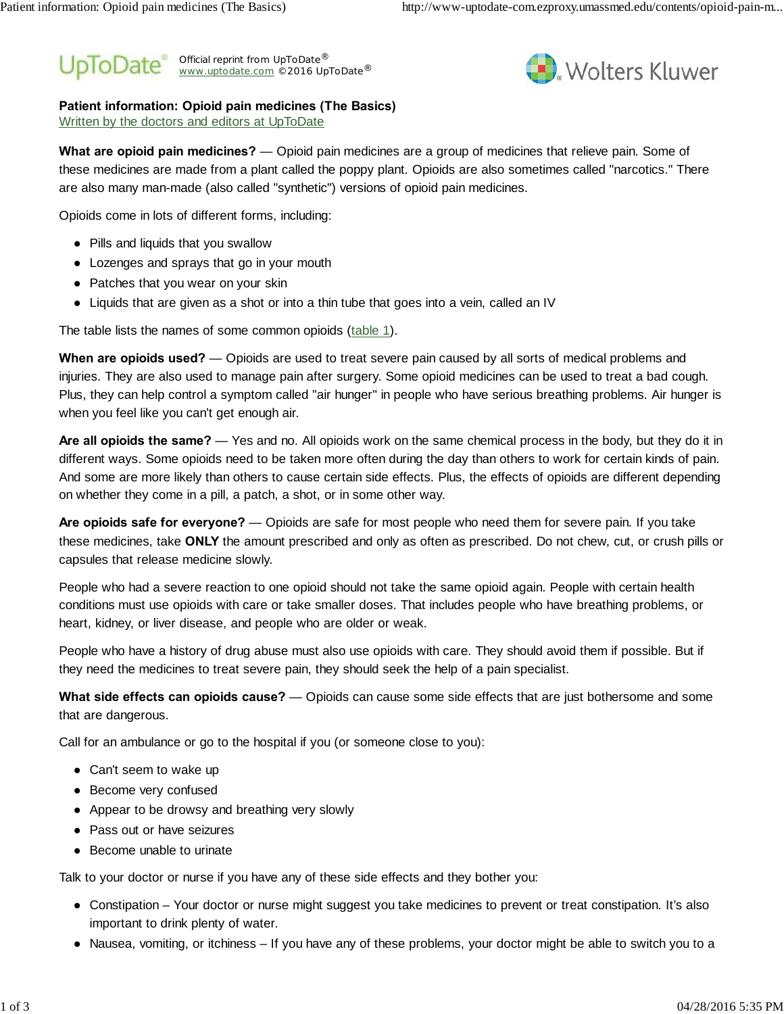#### Official reprint from UpToDate® www.uptodate.com ©2016 UpToDate<sup>®</sup> ® ®



## **Patient information: Opioid pain medicines (The Basics)**

Written by the doctors and editors at UpToDate

**What are opioid pain medicines?** — Opioid pain medicines are a group of medicines that relieve pain. Some of these medicines are made from a plant called the poppy plant. Opioids are also sometimes called "narcotics." There are also many man-made (also called "synthetic") versions of opioid pain medicines.

Opioids come in lots of different forms, including:

Pills and liquids that you swallow

Lozenges and sprays that go in your mouth

Patches that you wear on your skin

Liquids that are given as a shot or into a thin tube that goes into a vein, called an IV

The table lists the names of some common opioids (table 1).

**When are opioids used?** — Opioids are used to treat severe pain caused by all sorts of medical problems and injuries. They are also used to manage pain after surgery. Some opioid medicines can be used to treat a bad cough. Plus, they can help control a symptom called "air hunger" in people who have serious breathing problems. Air hunger is when you feel like you can't get enough air.

**Are all opioids the same?** — Yes and no. All opioids work on the same chemical process in the body, but they do it in different ways. Some opioids need to be taken more often during the day than others to work for certain kinds of pain. And some are more likely than others to cause certain side effects. Plus, the effects of opioids are different depending on whether they come in a pill, a patch, a shot, or in some other way.

**Are opioids safe for everyone?** — Opioids are safe for most people who need them for severe pain. If you take these medicines, take **ONLY** the amount prescribed and only as often as prescribed. Do not chew, cut, or crush pills or capsules that release medicine slowly.

People who had a severe reaction to one opioid should not take the same opioid again. People with certain health conditions must use opioids with care or take smaller doses. That includes people who have breathing problems, or heart, kidney, or liver disease, and people who are older or weak.

People who have a history of drug abuse must also use opioids with care. They should avoid them if possible. But if they need the medicines to treat severe pain, they should seek the help of a pain specialist.

**What side effects can opioids cause?** — Opioids can cause some side effects that are just bothersome and some that are dangerous.

Call for an ambulance or go to the hospital if you (or someone close to you):

Can't seem to wake up Become very confused Appear to be drowsy and breathing very slowly Pass out or have seizures Become unable to urinate

Talk to your doctor or nurse if you have any of these side effects and they bother you:

Constipation – Your doctor or nurse might suggest you take medicines to prevent or treat constipation. It's also important to drink plenty of water.

Nausea, vomiting, or itchiness – If you have any of these problems, your doctor might be able to switch you to a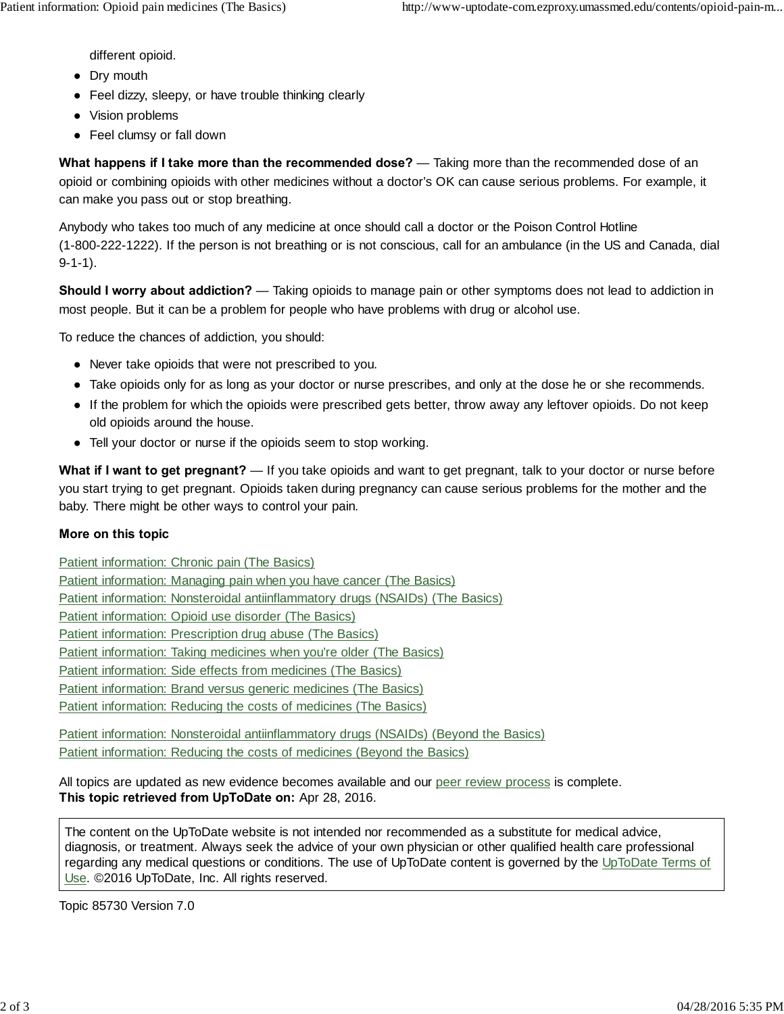different opioid. Dry mouth Feel dizzy, sleepy, or have trouble thinking clearly Vision problems Feel clumsy or fall down

**What happens if I take more than the recommended dose?** — Taking more than the recommended dose of an opioid or combining opioids with other medicines without a doctor's OK can cause serious problems. For example, it can make you pass out or stop breathing.

Anybody who takes too much of any medicine at once should call a doctor or the Poison Control Hotline (1-800-222-1222). If the person is not breathing or is not conscious, call for an ambulance (in the US and Canada, dial 9-1-1).

**Should I worry about addiction?** — Taking opioids to manage pain or other symptoms does not lead to addiction in most people. But it can be a problem for people who have problems with drug or alcohol use.

To reduce the chances of addiction, you should:

Never take opioids that were not prescribed to you.

Take opioids only for as long as your doctor or nurse prescribes, and only at the dose he or she recommends.

If the problem for which the opioids were prescribed gets better, throw away any leftover opioids. Do not keep old opioids around the house.

Tell your doctor or nurse if the opioids seem to stop working.

**What if I want to get pregnant?** — If you take opioids and want to get pregnant, talk to your doctor or nurse before you start trying to get pregnant. Opioids taken during pregnancy can cause serious problems for the mother and the baby. There might be other ways to control your pain.

### **More on this topic**

Patient information: Chronic pain (The Basics) Patient information: Managing pain when you have cancer (The Basics) Patient information: Nonsteroidal antiinflammatory drugs (NSAIDs) (The Basics) Patient information: Opioid use disorder (The Basics) Patient information: Prescription drug abuse (The Basics) Patient information: Taking medicines when you're older (The Basics) Patient information: Side effects from medicines (The Basics) Patient information: Brand versus generic medicines (The Basics) Patient information: Reducing the costs of medicines (The Basics)

Patient information: Nonsteroidal antiinflammatory drugs (NSAIDs) (Beyond the Basics) Patient information: Reducing the costs of medicines (Beyond the Basics)

All topics are updated as new evidence becomes available and our peer review process is complete. **This topic retrieved from UpToDate on:** Apr 28, 2016.

The content on the UpToDate website is not intended nor recommended as a substitute for medical advice, diagnosis, or treatment. Always seek the advice of your own physician or other qualified health care professional regarding any medical questions or conditions. The use of UpToDate content is governed by the UpToDate Terms of Use. ©2016 UpToDate, Inc. All rights reserved.

Topic 85730 Version 7.0